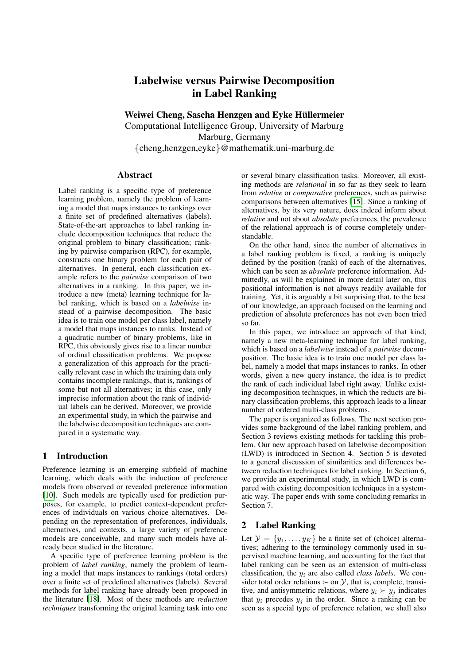# Labelwise versus Pairwise Decomposition in Label Ranking

Weiwei Cheng, Sascha Henzgen and Eyke Hüllermeier

Computational Intelligence Group, University of Marburg Marburg, Germany {cheng,henzgen,eyke}@mathematik.uni-marburg.de

## Abstract

Label ranking is a specific type of preference learning problem, namely the problem of learning a model that maps instances to rankings over a finite set of predefined alternatives (labels). State-of-the-art approaches to label ranking include decomposition techniques that reduce the original problem to binary classification; ranking by pairwise comparison (RPC), for example, constructs one binary problem for each pair of alternatives. In general, each classification example refers to the *pairwise* comparison of two alternatives in a ranking. In this paper, we introduce a new (meta) learning technique for label ranking, which is based on a *labelwise* instead of a pairwise decomposition. The basic idea is to train one model per class label, namely a model that maps instances to ranks. Instead of a quadratic number of binary problems, like in RPC, this obviously gives rise to a linear number of ordinal classification problems. We propose a generalization of this approach for the practically relevant case in which the training data only contains incomplete rankings, that is, rankings of some but not all alternatives; in this case, only imprecise information about the rank of individual labels can be derived. Moreover, we provide an experimental study, in which the pairwise and the labelwise decomposition techniques are compared in a systematic way.

# 1 Introduction

Preference learning is an emerging subfield of machine learning, which deals with the induction of preference models from observed or revealed preference information [\[10\]](#page-7-0). Such models are typically used for prediction purposes, for example, to predict context-dependent preferences of individuals on various choice alternatives. Depending on the representation of preferences, individuals, alternatives, and contexts, a large variety of preference models are conceivable, and many such models have already been studied in the literature.

A specific type of preference learning problem is the problem of *label ranking*, namely the problem of learning a model that maps instances to rankings (total orders) over a finite set of predefined alternatives (labels). Several methods for label ranking have already been proposed in the literature [\[18\]](#page-7-1). Most of these methods are *reduction techniques* transforming the original learning task into one or several binary classification tasks. Moreover, all existing methods are *relational* in so far as they seek to learn from *relative* or *comparative* preferences, such as pairwise comparisons between alternatives [\[15\]](#page-7-2). Since a ranking of alternatives, by its very nature, does indeed inform about *relative* and not about *absolute* preferences, the prevalence of the relational approach is of course completely understandable.

On the other hand, since the number of alternatives in a label ranking problem is fixed, a ranking is uniquely defined by the position (rank) of each of the alternatives, which can be seen as *absolute* preference information. Admittedly, as will be explained in more detail later on, this positional information is not always readily available for training. Yet, it is arguably a bit surprising that, to the best of our knowledge, an approach focused on the learning and prediction of absolute preferences has not even been tried so far.

In this paper, we introduce an approach of that kind, namely a new meta-learning technique for label ranking, which is based on a *labelwise* instead of a *pairwise* decomposition. The basic idea is to train one model per class label, namely a model that maps instances to ranks. In other words, given a new query instance, the idea is to predict the rank of each individual label right away. Unlike existing decomposition techniques, in which the reducts are binary classification problems, this approach leads to a linear number of ordered multi-class problems.

The paper is organized as follows. The next section provides some background of the label ranking problem, and Section 3 reviews existing methods for tackling this problem. Our new approach based on labelwise decomposition (LWD) is introduced in Section 4. Section 5 is devoted to a general discussion of similarities and differences between reduction techniques for label ranking. In Section 6, we provide an experimental study, in which LWD is compared with existing decomposition techniques in a systematic way. The paper ends with some concluding remarks in Section 7.

# 2 Label Ranking

Let  $\mathcal{Y} = \{y_1, \ldots, y_K\}$  be a finite set of (choice) alternatives; adhering to the terminology commonly used in supervised machine learning, and accounting for the fact that label ranking can be seen as an extension of multi-class classification, the  $y_i$  are also called *class labels*. We consider total order relations  $\succ$  on  $\mathcal{Y}$ , that is, complete, transitive, and antisymmetric relations, where  $y_i \succ y_j$  indicates that  $y_i$  precedes  $y_i$  in the order. Since a ranking can be seen as a special type of preference relation, we shall also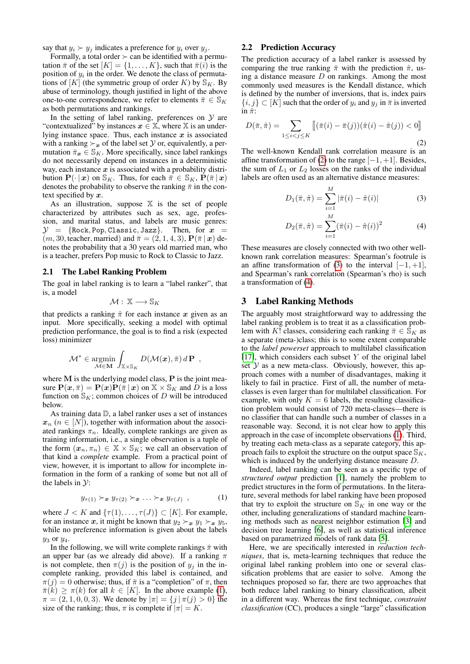say that  $y_i \succ y_j$  indicates a preference for  $y_i$  over  $y_j$ .

Formally, a total order  $\succ$  can be identified with a permutation  $\bar{\pi}$  of the set  $[K] = \{1, \ldots, K\}$ , such that  $\bar{\pi}(i)$  is the position of  $y_i$  in the order. We denote the class of permutations of [K] (the symmetric group of order K) by  $\mathbb{S}_K$ . By abuse of terminology, though justified in light of the above one-to-one correspondence, we refer to elements  $\bar{\pi} \in \mathbb{S}_K$ as both permutations and rankings.

In the setting of label ranking, preferences on  $\mathcal Y$  are "contextualized" by instances  $x \in \mathbb{X}$ , where  $\mathbb{X}$  is an underlying instance space. Thus, each instance  $x$  is associated with a ranking  $\succ_{x}$  of the label set  $Y$  or, equivalently, a permutation  $\bar{\pi}_x \in \mathbb{S}_K$ . More specifically, since label rankings do not necessarily depend on instances in a deterministic way, each instance  $x$  is associated with a probability distribution  $\mathbf{P}(\cdot | x)$  on  $\mathbb{S}_K$ . Thus, for each  $\bar{\pi} \in \mathbb{S}_K$ ,  $\mathbf{P}(\bar{\pi} | x)$ denotes the probability to observe the ranking  $\bar{\pi}$  in the context specified by  $x$ .

As an illustration, suppose  $X$  is the set of people characterized by attributes such as sex, age, profession, and marital status, and labels are music genres:  $\mathcal{Y} = \{\text{Rock}, \text{Pop}, \text{Classic}, \text{Jazz}\}.$  Then, for  $x =$  $(m, 30, \text{teacher}, \text{married})$  and  $\bar{\pi} = (2, 1, 4, 3), \mathbf{P}(\bar{\pi} | \mathbf{x})$  denotes the probability that a 30 years old married man, who is a teacher, prefers Pop music to Rock to Classic to Jazz.

#### 2.1 The Label Ranking Problem

The goal in label ranking is to learn a "label ranker", that is, a model

$$
\mathcal{M}:\,\mathbb{X}\longrightarrow\mathbb{S}_K
$$

that predicts a ranking  $\hat{\pi}$  for each instance x given as an input. More specifically, seeking a model with optimal prediction performance, the goal is to find a risk (expected loss) minimizer

$$
\mathcal{M}^* \in \operatorname*{argmin}_{\mathcal{M} \in \mathbf{M}} \int_{\mathbb{X} \times \mathbb{S}_K} D(\mathcal{M}(\boldsymbol{x}), \bar{\pi}) d\mathbf{P} ,
$$

where  $M$  is the underlying model class,  $P$  is the joint measure  $P(x, \overline{\pi}) = P(x)P(\overline{\pi} | x)$  on  $X \times S_K$  and D is a loss function on  $\mathbb{S}_K$ ; common choices of D will be introduced below.

As training data D, a label ranker uses a set of instances  $x_n$  ( $n \in [N]$ ), together with information about the associated rankings  $\pi_n$ . Ideally, complete rankings are given as training information, i.e., a single observation is a tuple of the form  $(x_n, \pi_n) \in \mathbb{X} \times \mathbb{S}_K$ ; we call an observation of that kind a *complete* example. From a practical point of view, however, it is important to allow for incomplete information in the form of a ranking of some but not all of the labels in  $\mathcal{Y}$ :

<span id="page-1-0"></span>
$$
y_{\tau(1)} \succ_{\bm{x}} y_{\tau(2)} \succ_{\bm{x}} \ldots \succ_{\bm{x}} y_{\tau(J)}, \qquad (1)
$$

where  $J < K$  and  $\{\tau(1), \ldots, \tau(J)\} \subset [K]$ . For example, for an instance x, it might be known that  $y_2 \succ_x y_1 \succ_x y_5$ , while no preference information is given about the labels  $y_3$  or  $y_4$ .

In the following, we will write complete rankings  $\bar{\pi}$  with an upper bar (as we already did above). If a ranking  $\pi$ is not complete, then  $\pi(j)$  is the position of  $y_j$  in the incomplete ranking, provided this label is contained, and  $\pi(j) = 0$  otherwise; thus, if  $\bar{\pi}$  is a "completion" of  $\pi$ , then  $\bar{\pi}(k) \geq \pi(k)$  for all  $k \in [K]$ . In the above example [\(1\)](#page-1-0),  $\pi = (2, 1, 0, 0, 3)$ . We denote by  $|\pi| = \{j | \pi(j) > 0\}$  the size of the ranking; thus,  $\pi$  is complete if  $|\pi| = K$ .

## 2.2 Prediction Accuracy

The prediction accuracy of a label ranker is assessed by comparing the true ranking  $\bar{\pi}$  with the prediction  $\hat{\pi}$ , using a distance measure  $D$  on rankings. Among the most commonly used measures is the Kendall distance, which is defined by the number of inversions, that is, index pairs  $\{i, j\} \subset [K]$  such that the order of  $y_i$  and  $y_j$  in  $\bar{\pi}$  is inverted in  $\hat{\pi}$ :

<span id="page-1-1"></span>
$$
D(\bar{\pi}, \hat{\pi}) = \sum_{1 \le i < j \le K} \left[ (\bar{\pi}(i) - \bar{\pi}(j))(\hat{\pi}(i) - \hat{\pi}(j)) < 0 \right] \tag{2}
$$

The well-known Kendall rank correlation measure is an affine transformation of [\(2\)](#page-1-1) to the range  $[-1, +1]$ . Besides, the sum of  $L_1$  or  $L_2$  losses on the ranks of the individual labels are often used as an alternative distance measures:

<span id="page-1-2"></span>
$$
D_1(\bar{\pi}, \hat{\pi}) = \sum_{i=1}^{M} |\bar{\pi}(i) - \hat{\pi}(i)|
$$
 (3)

<span id="page-1-3"></span>
$$
D_2(\bar{\pi}, \hat{\pi}) = \sum_{i=1}^{M} (\bar{\pi}(i) - \hat{\pi}(i))^2
$$
 (4)

These measures are closely connected with two other wellknown rank correlation measures: Spearman's footrule is an affine transformation of [\(3\)](#page-1-2) to the interval  $[-1, +1]$ , and Spearman's rank correlation (Spearman's rho) is such a transformation of [\(4\)](#page-1-3).

## 3 Label Ranking Methods

The arguably most straightforward way to addressing the label ranking problem is to treat it as a classification problem with K! classes, considering each ranking  $\bar{\pi} \in S_K$  as a separate (meta-)class; this is to some extent comparable to the *label powerset* approach to multilabel classification [\[17\]](#page-7-3), which considers each subset  $Y$  of the original label set  $Y$  as a new meta-class. Obviously, however, this approach comes with a number of disadvantages, making it likely to fail in practice. First of all, the number of metaclasses is even larger than for multilabel classification. For example, with only  $K = 6$  labels, the resulting classification problem would consist of 720 meta-classes—there is no classifier that can handle such a number of classes in a reasonable way. Second, it is not clear how to apply this approach in the case of incomplete observations [\(1\)](#page-1-0). Third, by treating each meta-class as a separate category, this approach fails to exploit the structure on the output space  $\mathcal{S}_K$ , which is induced by the underlying distance measure D.

Indeed, label ranking can be seen as a specific type of *structured output* prediction [\[1\]](#page-6-0), namely the problem to predict structures in the form of permutations. In the literature, several methods for label ranking have been proposed that try to exploit the structure on  $\mathcal{S}_K$  in one way or the other, including generalizations of standard machine learning methods such as nearest neighbor estimation [\[3\]](#page-6-1) and decision tree learning [\[6\]](#page-7-4), as well as statistical inference based on parametrized models of rank data [\[5\]](#page-6-2).

Here, we are specifically interested in *reduction techniques*, that is, meta-learning techniques that reduce the original label ranking problem into one or several classification problems that are easier to solve. Among the techniques proposed so far, there are two approaches that both reduce label ranking to binary classification, albeit in a different way. Whereas the first technique, *constraint classification* (CC), produces a single "large" classification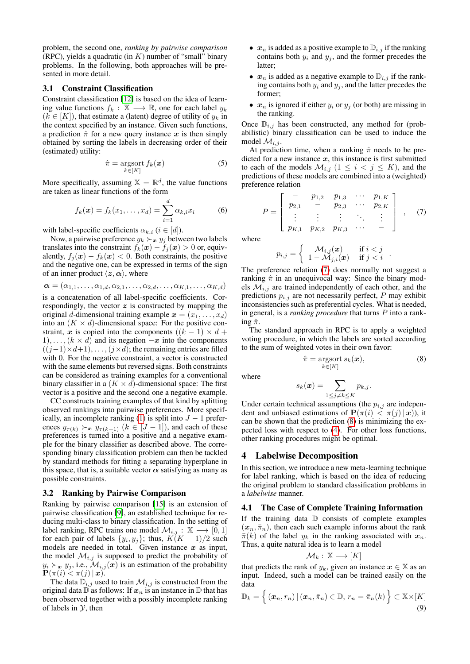problem, the second one, *ranking by pairwise comparison* (RPC), yields a quadratic (in  $K$ ) number of "small" binary problems. In the following, both approaches will be presented in more detail.

## 3.1 Constraint Classification

Constraint classification [\[12\]](#page-7-5) is based on the idea of learning value functions  $f_k : \mathbb{X} \longrightarrow \mathbb{R}$ , one for each label  $y_k$  $(k \in [K])$ , that estimate a (latent) degree of utility of  $y_k$  in the context specified by an instance. Given such functions, a prediction  $\hat{\pi}$  for a new query instance x is then simply obtained by sorting the labels in decreasing order of their (estimated) utility:

<span id="page-2-2"></span>
$$
\hat{\pi} = \operatorname*{argsort}_{k \in [K]} f_k(\boldsymbol{x}) \tag{5}
$$

More specifically, assuming  $\mathbb{X} = \mathbb{R}^d$ , the value functions are taken as linear functions of the form

$$
f_k(\bm{x}) = f_k(x_1, ..., x_d) = \sum_{i=1}^d \alpha_{k,i} x_i
$$
 (6)

with label-specific coefficients  $\alpha_{k,i}$  ( $i \in [d]$ ).

Now, a pairwise preference  $y_k \succ_x y_j$  between two labels translates into the constraint  $f_k(\mathbf{x}) - f_j(\mathbf{x}) > 0$  or, equivalently,  $f_i(\mathbf{x}) - f_k(\mathbf{x}) < 0$ . Both constraints, the positive and the negative one, can be expressed in terms of the sign of an inner product  $\langle z, \alpha \rangle$ , where

$$
\boldsymbol{\alpha} = (\alpha_{1,1}, \ldots, \alpha_{1,d}, \alpha_{2,1}, \ldots, \alpha_{2,d}, \ldots, \alpha_{K,1}, \ldots, \alpha_{K,d})
$$

is a concatenation of all label-specific coefficients. Correspondingly, the vector  $z$  is constructed by mapping the original d-dimensional training example  $\mathbf{x} = (x_1, \dots, x_d)$ into an  $(K \times d)$ -dimensional space: For the positive constraint, x is copied into the components  $((k - 1) \times d +$  $1), \ldots, (k \times d)$  and its negation  $-x$  into the components  $((j-1)\times d+1), \ldots, (j\times d)$ ; the remaining entries are filled with 0. For the negative constraint, a vector is constructed with the same elements but reversed signs. Both constraints can be considered as training examples for a conventional binary classifier in a  $(K \times d)$ -dimensional space: The first vector is a positive and the second one a negative example.

CC constructs training examples of that kind by splitting observed rankings into pairwise preferences. More specif-ically, an incomplete ranking [\(1\)](#page-1-0) is split into  $J - 1$  preferences  $y_{\tau(k)} \succ_{\mathbf{x}} y_{\tau(k+1)}$   $(k \in [J-1])$ , and each of these preferences is turned into a positive and a negative example for the binary classifier as described above. The corresponding binary classification problem can then be tackled by standard methods for fitting a separating hyperplane in this space, that is, a suitable vector  $\alpha$  satisfying as many as possible constraints.

## 3.2 Ranking by Pairwise Comparison

Ranking by pairwise comparison [\[15\]](#page-7-2) is an extension of pairwise classification [\[9\]](#page-7-6), an established technique for reducing multi-class to binary classification. In the setting of label ranking, RPC trains one model  $\mathcal{M}_{i,j} : \mathbb{X} \longrightarrow [0,1]$ for each pair of labels  $\{y_i, y_j\}$ ; thus,  $K(K-1)/2$  such models are needed in total. Given instance  $x$  as input, the model  $\mathcal{M}_{i,j}$  is supposed to predict the probability of  $y_i \succ_x y_j$ , i.e.,  $\mathcal{M}_{i,j}(x)$  is an estimation of the probability  $\mathbf{P}(\pi(i) < \pi(j) \,|\, \boldsymbol{x}).$ 

The data  $\mathbb{D}_{i,j}$  used to train  $\mathcal{M}_{i,j}$  is constructed from the original data  $\mathbb{D}$  as follows: If  $x_n$  is an instance in  $\mathbb{D}$  that has been observed together with a possibly incomplete ranking of labels in  $\mathcal{Y}$ , then

- $x_n$  is added as a positive example to  $\mathbb{D}_{i,j}$  if the ranking contains both  $y_i$  and  $y_j$ , and the former precedes the latter;
- $x_n$  is added as a negative example to  $\mathbb{D}_{i,j}$  if the ranking contains both  $y_i$  and  $y_j$ , and the latter precedes the former;
- $x_n$  is ignored if either  $y_i$  or  $y_j$  (or both) are missing in the ranking.

Once  $\mathbb{D}_{i,j}$  has been constructed, any method for (probabilistic) binary classification can be used to induce the model  $\mathcal{M}_{i,j}$ .

At prediction time, when a ranking  $\hat{\pi}$  needs to be predicted for a new instance  $x$ , this instance is first submitted to each of the models  $\mathcal{M}_{i,j}$   $(1 \leq i \leq j \leq K)$ , and the predictions of these models are combined into a (weighted) preference relation

<span id="page-2-0"></span>
$$
P = \left[ \begin{array}{cccc} - & p_{1,2} & p_{1,3} & \cdots & p_{1,K} \\ p_{2,1} & - & p_{2,3} & \cdots & p_{2,K} \\ \vdots & \vdots & \vdots & \ddots & \vdots \\ p_{K,1} & p_{K,2} & p_{K,3} & \cdots & - \end{array} \right], \quad (7)
$$

where

$$
p_{i,j} = \begin{cases} \mathcal{M}_{i,j}(\boldsymbol{x}) & \text{if } i < j \\ 1 - \mathcal{M}_{j,i}(\boldsymbol{x}) & \text{if } j < i \end{cases}.
$$

The preference relation [\(7\)](#page-2-0) does normally not suggest a ranking  $\hat{\pi}$  in an unequivocal way: Since the binary models  $\mathcal{M}_{i,j}$  are trained independently of each other, and the predictions  $p_{i,j}$  are not necessarily perfect, P may exhibit inconsistencies such as preferential cycles. What is needed, in general, is a *ranking procedure* that turns P into a ranking  $\hat{\pi}$ .

The standard approach in RPC is to apply a weighted voting procedure, in which the labels are sorted according to the sum of weighted votes in their own favor:

<span id="page-2-1"></span>
$$
\hat{\pi} = \underset{k \in [K]}{\operatorname{argsort}} s_k(\boldsymbol{x}),\tag{8}
$$

where

$$
s_k(\boldsymbol{x}) = \sum_{1 \leq j \neq k \leq K} p_{k,j}.
$$

Under certain technical assumptions (the  $p_{i,j}$  are independent and unbiased estimations of  $P(\pi(i) < \pi(j \mid \boldsymbol{x}))$ , it can be shown that the prediction [\(8\)](#page-2-1) is minimizing the expected loss with respect to [\(4\)](#page-1-3). For other loss functions, other ranking procedures might be optimal.

## 4 Labelwise Decomposition

In this section, we introduce a new meta-learning technique for label ranking, which is based on the idea of reducing the original problem to standard classification problems in a *labelwise* manner.

#### 4.1 The Case of Complete Training Information

If the training data  $\mathbb D$  consists of complete examples  $(x_n, \overline{\pi}_n)$ , then each such example informs about the rank  $\bar{\pi}(k)$  of the label  $y_k$  in the ranking associated with  $x_n$ . Thus, a quite natural idea is to learn a model

$$
\mathcal{M}_k:\mathbb{X}\longrightarrow[K]
$$

that predicts the rank of  $y_k$ , given an instance  $x \in \mathbb{X}$  as an input. Indeed, such a model can be trained easily on the data

<span id="page-2-3"></span>
$$
\mathbb{D}_k = \left\{ (\boldsymbol{x}_n, r_n) \, | \, (\boldsymbol{x}_n, \bar{\pi}_n) \in \mathbb{D}, r_n = \bar{\pi}_n(k) \right\} \subset \mathbb{X} \times [K]
$$
\n
$$
(9)
$$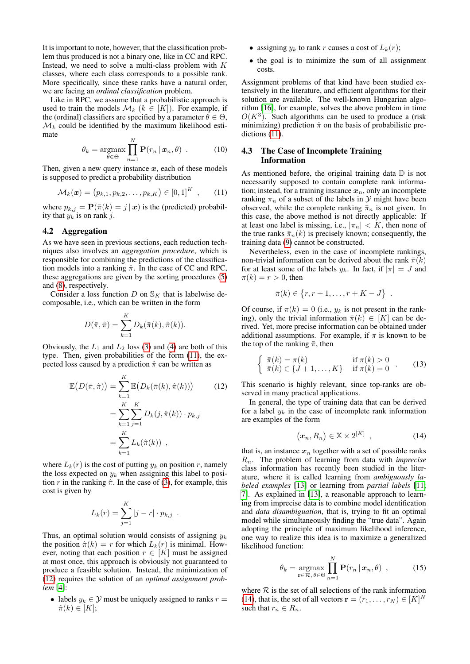It is important to note, however, that the classification problem thus produced is not a binary one, like in CC and RPC. Instead, we need to solve a multi-class problem with  $K$ classes, where each class corresponds to a possible rank. More specifically, since these ranks have a natural order, we are facing an *ordinal classification* problem.

Like in RPC, we assume that a probabilistic approach is used to train the models  $\mathcal{M}_k$  ( $k \in [K]$ ). For example, if the (ordinal) classifiers are specified by a parameter  $\theta \in \Theta$ ,  $\mathcal{M}_k$  could be identified by the maximum likelihood estimate

$$
\theta_k = \underset{\theta \in \Theta}{\operatorname{argmax}} \prod_{n=1}^N \mathbf{P}(r_n \,|\, \boldsymbol{x}_n, \theta) \quad . \tag{10}
$$

Then, given a new query instance  $x$ , each of these models is supposed to predict a probability distribution

$$
\mathcal{M}_k(\boldsymbol{x}) = (p_{k,1}, p_{k,2}, \dots, p_{k,K}) \in [0,1]^K , \qquad (11)
$$

where  $p_{k,j} = \mathbf{P}(\bar{\pi}(k) = j | \mathbf{x})$  is the (predicted) probability that  $y_k$  is on rank j.

## 4.2 Aggregation

As we have seen in previous sections, each reduction techniques also involves an *aggregation procedure*, which is responsible for combining the predictions of the classification models into a ranking  $\hat{\pi}$ . In the case of CC and RPC, these aggregations are given by the sorting procedures [\(5\)](#page-2-2) and [\(8\)](#page-2-1), respectively.

Consider a loss function D on  $\mathcal{S}_K$  that is labelwise decomposable, i.e., which can be written in the form

$$
D(\bar{\pi}, \hat{\pi}) = \sum_{k=1}^{K} D_k(\bar{\pi}(k), \hat{\pi}(k)).
$$

Obviously, the  $L_1$  and  $L_2$  loss [\(3\)](#page-1-2) and [\(4\)](#page-1-3) are both of this type. Then, given probabilities of the form [\(11\)](#page-3-0), the expected loss caused by a prediction  $\hat{\pi}$  can be written as

$$
\mathbb{E}\left(D(\bar{\pi},\hat{\pi})\right) = \sum_{k=1}^{K} \mathbb{E}\left(D_k(\bar{\pi}(k),\hat{\pi}(k))\right) \qquad (12)
$$
\n
$$
= \sum_{k=1}^{K} \sum_{j=1}^{K} D_k(j,\hat{\pi}(k)) \cdot p_{k,j}
$$
\n
$$
= \sum_{k=1}^{K} L_k(\hat{\pi}(k)) ,
$$

where  $L_k(r)$  is the cost of putting  $y_k$  on position r, namely the loss expected on  $y_k$  when assigning this label to position r in the ranking  $\hat{\pi}$ . In the case of [\(3\)](#page-1-2), for example, this cost is given by

$$
L_k(r) = \sum_{j=1}^K |j - r| \cdot p_{k,j} .
$$

Thus, an optimal solution would consists of assigning  $y_k$ the position  $\hat{\pi}(k) = r$  for which  $L_k(r)$  is minimal. However, noting that each position  $r \in [K]$  must be assigned at most once, this approach is obviously not guaranteed to produce a feasible solution. Instead, the minimization of [\(12\)](#page-3-1) requires the solution of an *optimal assignment problem* [\[4\]](#page-6-3):

• labels  $y_k \in \mathcal{Y}$  must be uniquely assigned to ranks  $r =$  $\hat{\pi}(k) \in [K];$ 

- assigning  $y_k$  to rank r causes a cost of  $L_k(r)$ ;
- the goal is to minimize the sum of all assignment costs.

Assignment problems of that kind have been studied extensively in the literature, and efficient algorithms for their solution are available. The well-known Hungarian algorithm [\[16\]](#page-7-7), for example, solves the above problem in time  $O(K^3)$ . Such algorithms can be used to produce a (risk minimizing) prediction  $\hat{\pi}$  on the basis of probabilistic predictions [\(11\)](#page-3-0).

# 4.3 The Case of Incomplete Training Information

<span id="page-3-0"></span>As mentioned before, the original training data  $\mathbb D$  is not necessarily supposed to contain complete rank information; instead, for a training instance  $x_n$ , only an incomplete ranking  $\pi_n$  of a subset of the labels in  $\mathcal Y$  might have been observed, while the complete ranking  $\bar{\pi}_n$  is not given. In this case, the above method is not directly applicable: If at least one label is missing, i.e.,  $|\pi_n| < K$ , then none of the true ranks  $\bar{\pi}_n(k)$  is precisely known; consequently, the training data [\(9\)](#page-2-3) cannot be constructed.

Nevertheless, even in the case of incomplete rankings, non-trivial information can be derived about the rank  $\bar{\pi}(k)$ for at least some of the labels  $y_k$ . In fact, if  $|\pi| = J$  and  $\pi(k) = r > 0$ , then

<span id="page-3-3"></span>
$$
\bar{\pi}(k) \in \{r, r+1, \ldots, r+K-J\} \ .
$$

Of course, if  $\pi(k) = 0$  (i.e.,  $y_k$  is not present in the ranking), only the trivial information  $\bar{\pi}(k) \in [K]$  can be derived. Yet, more precise information can be obtained under additional assumptions. For example, if  $\pi$  is known to be the top of the ranking  $\bar{\pi}$ , then

$$
\begin{cases} \overline{\pi}(k) = \pi(k) & \text{if } \pi(k) > 0 \\ \overline{\pi}(k) \in \{J+1, \dots, K\} & \text{if } \pi(k) = 0 \end{cases} \tag{13}
$$

<span id="page-3-1"></span>This scenario is highly relevant, since top-ranks are observed in many practical applications.

In general, the type of training data that can be derived for a label  $y_k$  in the case of incomplete rank information are examples of the form

<span id="page-3-2"></span>
$$
(\boldsymbol{x}_n, R_n) \in \mathbb{X} \times 2^{[K]}, \qquad (14)
$$

that is, an instance  $x_n$  together with a set of possible ranks Rn. The problem of learning from data with *imprecise* class information has recently been studied in the literature, where it is called learning from *ambiguously labeled examples* [\[13\]](#page-7-8) or learning from *partial labels* [\[11;](#page-7-9) [7\]](#page-7-10). As explained in [\[13\]](#page-7-8), a reasonable approach to learning from imprecise data is to combine model identification and *data disambiguation*, that is, trying to fit an optimal model while simultaneously finding the "true data". Again adopting the principle of maximum likelihood inference, one way to realize this idea is to maximize a generalized likelihood function:

<span id="page-3-4"></span>
$$
\theta_k = \underset{\mathbf{r} \in \mathcal{R}, \, \theta \in \Theta}{\operatorname{argmax}} \prod_{n=1}^N \mathbf{P}(r_n \, | \, \boldsymbol{x}_n, \theta) \tag{15}
$$

where  $R$  is the set of all selections of the rank information [\(14\)](#page-3-2), that is, the set of all vectors  $\mathbf{r} = (r_1, \dots, r_N) \in [K]^N$ such that  $r_n \in R_n$ .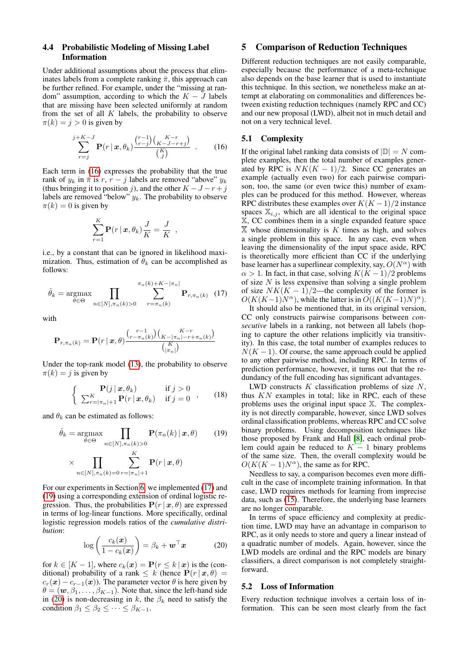## <span id="page-4-4"></span>4.4 Probabilistic Modeling of Missing Label Information

Under additional assumptions about the process that eliminates labels from a complete ranking  $\bar{\pi}$ , this approach can be further refined. For example, under the "missing at random" assumption, according to which the  $K - J$  labels that are missing have been selected uniformly at random from the set of all  $K$  labels, the probability to observe  $\pi(k) = j > 0$  is given by

<span id="page-4-0"></span>
$$
\sum_{r=j}^{j+K-J} \mathbf{P}(r \mid \mathbf{x}, \theta_k) \frac{\binom{r-1}{r-j} \binom{K-r}{K-J-r+j}}{\binom{K}{J}} \quad . \tag{16}
$$

Each term in [\(16\)](#page-4-0) expresses the probability that the true rank of  $y_k$  in  $\bar{\pi}$  is r,  $r - j$  labels are removed "above"  $y_k$ (thus bringing it to position j), and the other  $K - J - r + j$ labels are removed "below"  $y_k$ . The probability to observe  $\pi(k) = 0$  is given by

$$
\sum_{r=1}^K \mathbf{P}(r \,|\, \boldsymbol{x}, \theta_k) \frac{J}{K} = \frac{J}{K} \enspace ,
$$

i.e., by a constant that can be ignored in likelihood maximization. Thus, estimation of  $\hat{\theta}_k$  can be accomplished as follows:

<span id="page-4-1"></span>
$$
\hat{\theta}_k = \underset{\theta \in \Theta}{\operatorname{argmax}} \prod_{n \in [N], \pi_n(k) > 0} \sum_{r = \pi_n(k)}^{\pi_n(k) + K - |\pi_n|} \mathbf{P}_{r, \pi_n(k)} \tag{17}
$$

with

$$
\mathbf{P}_{r,\pi_n(k)} = \mathbf{P}(r \,|\, \boldsymbol{x}, \theta) \frac{\binom{r-1}{r-\pi_n(k)} \binom{K-r}{K-|\pi_n|-r+\pi_n(k)}}{\binom{K}{|\pi_n|}}
$$

Under the top-rank model [\(13\)](#page-3-3), the probability to observe  $\pi(k) = j$  is given by

$$
\begin{cases}\n\mathbf{P}(j \mid \boldsymbol{x}, \theta_k) & \text{if } j > 0 \\
\sum_{r=|\pi_n|+1}^K \mathbf{P}(r \mid \boldsymbol{x}, \theta_k) & \text{if } j = 0\n\end{cases},\n\tag{18}
$$

and  $\theta_k$  can be estimated as follows:

$$
\hat{\theta}_k = \underset{\theta \in \Theta}{\operatorname{argmax}} \prod_{n \in [N], \pi_n(k) > 0} \mathbf{P}(\pi_n(k) \mid \mathbf{x}, \theta) \tag{19}
$$
\n
$$
\times \prod_{k \in [N], \pi_k(k) > 0} \mathbf{P}(r \mid \mathbf{x}, \theta)
$$

$$
\left\langle \prod_{n\in[N],\pi_n(k)=0}\sum_{r=|\pi_n|+1}\mathbf{1}\right\rangle
$$

For our experiments in Section [6,](#page-5-0) we implemented [\(17\)](#page-4-1) and [\(19\)](#page-4-2) using a corresponding extension of ordinal logistic regression. Thus, the probabilities  $P(r | x, \theta)$  are expressed in terms of log-linear functions. More specifically, ordinal logistic regression models ratios of the *cumulative distribution*:

<span id="page-4-3"></span>
$$
\log\left(\frac{c_k(\boldsymbol{x})}{1-c_k(\boldsymbol{x})}\right) = \beta_k + \boldsymbol{w}^\top \boldsymbol{x} \tag{20}
$$

for  $k \in [K-1]$ , where  $c_k(\mathbf{x}) = \mathbf{P}(r \leq k \mid \mathbf{x})$  is the (conditional) probability of a rank  $\leq k$  (hence  $\mathbf{P}(r \mid \mathbf{x}, \theta) =$  $c_r(\mathbf{x}) - c_{r-1}(\mathbf{x})$ . The parameter vector  $\theta$  is here given by  $\theta = (\mathbf{w}, \beta_1, \dots, \beta_{K-1})$ . Note that, since the left-hand side in [\(20\)](#page-4-3) is non-decreasing in k, the  $\beta_k$  need to satisfy the condition  $\beta_1 \leq \beta_2 \leq \cdots \leq \beta_{K-1}$ .

## 5 Comparison of Reduction Techniques

Different reduction techniques are not easily comparable, especially because the performance of a meta-technique also depends on the base learner that is used to instantiate this technique. In this section, we nonetheless make an attempt at elaborating on commonalities and differences between existing reduction techniques (namely RPC and CC) and our new proposal (LWD), albeit not in much detail and not on a very technical level.

## 5.1 Complexity

If the original label ranking data consists of  $|\mathbb{D}| = N$  complete examples, then the total number of examples generated by RPC is  $NK(K - 1)/2$ . Since CC generates an example (actually even two) for each pairwise comparison, too, the same (or even twice this) number of examples can be produced for this method. However, whereas RPC distributes these examples over  $K(K-1)/2$  instance spaces  $\mathbb{X}_{i,j}$ , which are all identical to the original space X, CC combines them in a single expanded feature space  $\overline{\mathbb{X}}$  whose dimensionality is K times as high, and solves a single problem in this space. In any case, even when leaving the dimensionality of the input space aside, RPC is theoretically more efficient than CC if the underlying base learner has a superlinear complexity, say,  $O(N^{\alpha})$  with  $\alpha > 1$ . In fact, in that case, solving  $K(K-1)/2$  problems of size  $N$  is less expensive than solving a single problem of size  $NK(K - 1)/2$ —the complexity of the former is  $O(K(K-1)N^{\alpha})$ , while the latter is in  $O((K(K-1)N)^{\alpha})$ .

It should also be mentioned that, in its original version, CC only constructs pairwise comparisons between *consecutive* labels in a ranking, not between all labels (hoping to capture the other relations implicitly via transitivity). In this case, the total number of examples reduces to  $N(K-1)$ . Of course, the same approach could be applied to any other pairwise method, including RPC. In terms of prediction performance, however, it turns out that the redundancy of the full encoding has significant advantages.

<span id="page-4-2"></span>LWD constructs  $K$  classification problems of size  $N$ , thus  $KN$  examples in total; like in RPC, each of these problems uses the original input space X. The complexity is not directly comparable, however, since LWD solves ordinal classification problems, whereas RPC and CC solve binary problems. Using decomposition techniques like those proposed by Frank and Hall [\[8\]](#page-7-11), each ordinal problem could again be reduced to  $K - 1$  binary problems of the same size. Then, the overall complexity would be  $O(K(K-1)N^{\alpha})$ , the same as for RPC.

Needless to say, a comparison becomes even more difficult in the case of incomplete training information. In that case, LWD requires methods for learning from imprecise data, such as [\(15\)](#page-3-4). Therefore, the underlying base learners are no longer comparable.

In terms of space efficiency and complexity at prediction time, LWD may have an advantage in comparison to RPC, as it only needs to store and query a linear instead of a quadratic number of models. Again, however, since the LWD models are ordinal and the RPC models are binary classifiers, a direct comparison is not completely straightforward.

#### 5.2 Loss of Information

Every reduction technique involves a certain loss of information. This can be seen most clearly from the fact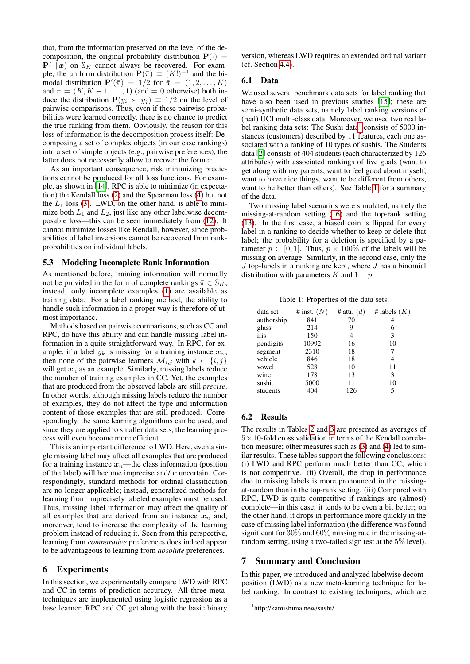that, from the information preserved on the level of the decomposition, the original probability distribution  $P(\cdot)$  =  $P(\cdot | x)$  on  $\mathcal{S}_K$  cannot always be recovered. For example, the uniform distribution  $\mathbf{P}(\bar{\pi}) \equiv (K!)^{-1}$  and the bimodal distribution  $\mathbf{P}'(\bar{\pi}) = 1/2$  for  $\bar{\pi} = (1, 2, ..., K)$ and  $\bar{\pi} = (K, K - 1, \ldots, 1)$  (and = 0 otherwise) both induce the distribution  $P(y_i > y_j) \equiv 1/2$  on the level of pairwise comparisons. Thus, even if these pairwise probabilities were learned correctly, there is no chance to predict the true ranking from them. Obviously, the reason for this loss of information is the decomposition process itself: Decomposing a set of complex objects (in our case rankings) into a set of simple objects (e.g., pairwise preferences), the latter does not necessarily allow to recover the former.

As an important consequence, risk minimizing predictions cannot be produced for all loss functions. For example, as shown in [\[14\]](#page-7-12), RPC is able to minimize (in expectation) the Kendall loss [\(2\)](#page-1-1) and the Spearman loss [\(4\)](#page-1-3) but not the  $L_1$  loss [\(3\)](#page-1-2). LWD, on the other hand, is able to minimize both  $L_1$  and  $L_2$ , just like any other labelwise decomposable loss—this can be seen immediately from [\(12\)](#page-3-1). It cannot minimize losses like Kendall, however, since probabilities of label inversions cannot be recovered from rankprobabilities on individual labels.

#### 5.3 Modeling Incomplete Rank Information

As mentioned before, training information will normally not be provided in the form of complete rankings  $\bar{\pi} \in \mathbb{S}_K$ ; instead, only incomplete examples [\(1\)](#page-1-0) are available as training data. For a label ranking method, the ability to handle such information in a proper way is therefore of utmost importance.

Methods based on pairwise comparisons, such as CC and RPC, do have this ability and can handle missing label information in a quite straightforward way. In RPC, for example, if a label  $y_k$  is missing for a training instance  $x_n$ , then none of the pairwise learners  $\mathcal{M}_{i,j}$  with  $k \in \{i,j\}$ will get  $x_n$  as an example. Similarly, missing labels reduce the number of training examples in CC. Yet, the examples that are produced from the observed labels are still *precise*. In other words, although missing labels reduce the number of examples, they do not affect the type and information content of those examples that are still produced. Correspondingly, the same learning algorithms can be used, and since they are applied to smaller data sets, the learning process will even become more efficient.

This is an important difference to LWD. Here, even a single missing label may affect all examples that are produced for a training instance  $x_n$ —the class information (position of the label) will become imprecise and/or uncertain. Correspondingly, standard methods for ordinal classification are no longer applicable; instead, generalized methods for learning from imprecisely labeled examples must be used. Thus, missing label information may affect the quality of all examples that are derived from an instance  $x_n$  and, moreover, tend to increase the complexity of the learning problem instead of reducing it. Seen from this perspective, learning from *comparative* preferences does indeed appear to be advantageous to learning from *absolute* preferences.

## <span id="page-5-0"></span>6 Experiments

In this section, we experimentally compare LWD with RPC and CC in terms of prediction accuracy. All three metatechniques are implemented using logistic regression as a base learner; RPC and CC get along with the basic binary version, whereas LWD requires an extended ordinal variant (cf. Section [4.4\)](#page-4-4).

## 6.1 Data

We used several benchmark data sets for label ranking that have also been used in previous studies [\[15\]](#page-7-2); these are semi-synthetic data sets, namely label ranking versions of (real) UCI multi-class data. Moreover, we used two real la-bel ranking data sets: The Sushi data<sup>[1](#page-5-1)</sup> consists of 5000 instances (customers) described by 11 features, each one associated with a ranking of 10 types of sushis. The Students data [\[2\]](#page-6-4) consists of 404 students (each characterized by 126 attributes) with associated rankings of five goals (want to get along with my parents, want to feel good about myself, want to have nice things, want to be different from others, want to be better than others). See Table [1](#page-5-2) for a summary of the data.

Two missing label scenarios were simulated, namely the missing-at-random setting [\(16\)](#page-4-0) and the top-rank setting [\(13\)](#page-3-3). In the first case, a biased coin is flipped for every label in a ranking to decide whether to keep or delete that label; the probability for a deletion is specified by a parameter  $p \in [0, 1]$ . Thus,  $p \times 100\%$  of the labels will be missing on average. Similarly, in the second case, only the  $J$  top-labels in a ranking are kept, where  $J$  has a binomial distribution with parameters K and  $1 - p$ .

<span id="page-5-2"></span>Table 1: Properties of the data sets.

| data set   | # inst. $(N)$ | # attr. $(d)$ | # labels $(K)$ |
|------------|---------------|---------------|----------------|
| authorship | 841           | 70            |                |
| glass      | 214           | 9             | 6              |
| iris       | 150           | 4             | 3              |
| pendigits  | 10992         | 16            | 10             |
| segment    | 2310          | 18            |                |
| vehicle    | 846           | 18            |                |
| vowel      | 528           | 10            | 11             |
| wine       | 178           | 13            | 3              |
| sushi      | 5000          | 11            | 10             |
| students   | 404           | 126           |                |

# 6.2 Results

The results in Tables [2](#page-6-5) and [3](#page-6-6) are presented as averages of  $5 \times 10$ -fold cross validation in terms of the Kendall correlation measure; other measures such as [\(3\)](#page-1-2) and [\(4\)](#page-1-3) led to similar results. These tables support the following conclusions: (i) LWD and RPC perform much better than CC, which is not competitive. (ii) Overall, the drop in performance due to missing labels is more pronounced in the missingat-random than in the top-rank setting. (iii) Compared with RPC, LWD is quite competitive if rankings are (almost) complete—in this case, it tends to be even a bit better; on the other hand, it drops in performance more quickly in the case of missing label information (the difference was found significant for 30% and 60% missing rate in the missing-atrandom setting, using a two-tailed sign test at the 5% level).

## 7 Summary and Conclusion

In this paper, we introduced and analyzed labelwise decomposition (LWD) as a new meta-learning technique for label ranking. In contrast to existing techniques, which are

<span id="page-5-1"></span><sup>1</sup> http://kamishima.new/sushi/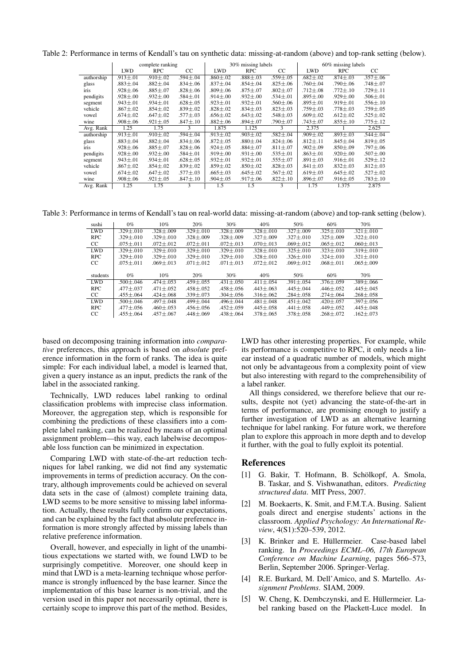Table 2: Performance in terms of Kendall's tau on synthetic data: missing-at-random (above) and top-rank setting (below).

<span id="page-6-5"></span>

|            | complete ranking |                  |                  | 30% missing labels |                |                | 60% missing labels |                  |                |
|------------|------------------|------------------|------------------|--------------------|----------------|----------------|--------------------|------------------|----------------|
|            | <b>LWD</b>       | <b>RPC</b>       | CC               | <b>LWD</b>         | <b>RPC</b>     | CC.            | <b>LWD</b>         | <b>RPC</b>       | CC.            |
| authorship | $.913 \pm .01$   | $.910 \pm .02$   | $.594 \pm .04$   | $.860 \pm .02$     | $.888 \pm .03$ | $.559 \pm .05$ | $.682 \pm .02$     | $.874 \pm .03$   | $.357 \pm .06$ |
| glass      | $.883 \pm .04$   | $.882 {\pm} .04$ | $.834 \pm .06$   | $.837 \pm .04$     | $.854 \pm .04$ | $.825 \pm .06$ | $.760 \pm .04$     | .790±.06         | .748±.07       |
| iris       | $.928 \pm .06$   | $.885 \pm .07$   | $.828 {\pm} .06$ | $.809 \pm .06$     | $.875 \pm .07$ | $.802 \pm .07$ | $.712 \pm .08$     | $.772 \pm .10$   | .729±.11       |
| pendigits  | $.928 \pm .00$   | $.932 \pm .00$   | $.584 \pm .01$   | $.914 \pm .00$     | $.932 \pm .00$ | $.534 \pm .01$ | $.895 \pm .00$     | $.929 \pm .00$   | $.506 \pm .01$ |
| segment    | $.943 \pm .01$   | $.934 \pm .01$   | $.628 \pm .05$   | $.923 \pm .01$     | $.932 \pm .01$ | $.560 \pm .06$ | $.895 \pm .01$     | $.919 \pm .01$   | $.556 \pm .10$ |
| vehicle    | $.867 {\pm} .02$ | $.854 \pm .02$   | $.839 \pm .02$   | $.828 \pm .02$     | $.834 \pm .03$ | $.823 \pm .03$ | $.759 \pm .03$     | $.778 \pm .03$   | $.759 \pm .05$ |
| vowel      | $.674 \pm .02$   | $.647 \pm .02$   | $.577 \pm .03$   | $.656 \pm .02$     | $.643 \pm .02$ | $.548 \pm .03$ | $.609 \pm .02$     | $.612 \pm .02$   | $.525 \pm .02$ |
| wine       | $.908 \pm .06$   | $.921 \pm .05$   | $.847 \pm .10$   | $.882 {\pm} .06$   | $.894 \pm .07$ | .790±.07       | .743±.07           | $.855 \pm .10$   | .775±.12       |
| Avg. Rank  | 1.25             | 1.75             | 3                | 1.875              | 1.125          | 3              | 2.375              |                  | 2.625          |
| authorship | $.913 \pm .01$   | $.910 \pm .02$   | $.594 \pm .04$   | $.913 \pm .02$     | $.903 \pm .02$ | $.582 \pm .04$ | $.909 \pm .02$     | $.893 \pm .03$   | $.544 \pm .04$ |
| glass      | $.883 \pm .04$   | $.882 \pm .04$   | $.834 \pm .06$   | $.872 \pm .05$     | $.880 \pm .04$ | $.824 \pm .06$ | $.812 \pm .11$     | $.845 \pm .04$   | $.819 \pm .05$ |
| iris       | $.928 \pm .06$   | $.885 \pm .07$   | $.828 \pm .06$   | $.924 \pm .05$     | $.884 \pm .07$ | $.811 \pm .07$ | $.902 \pm .09$     | .850±.09         | $.797 \pm .06$ |
| pendigits  | $.928 \pm .00$   | $.932 \pm .00$   | $.584 \pm .01$   | $.919 \pm .00$     | $.931 \pm .00$ | $.535 \pm .01$ | $.863 \pm .01$     | $.920 \pm .00$   | $.507 \pm .00$ |
| segment    | $.943 \pm .01$   | $.934 \pm .01$   | $.628 \pm .05$   | $.932 \pm .01$     | $.932 \pm .01$ | $.555 \pm .07$ | $.891 \pm .03$     | $.916 {\pm} .01$ | $.529 \pm .12$ |
| vehicle    | $.867 \pm .02$   | $.854 \pm .02$   | $.839 \pm .02$   | $.859 \pm .02$     | $.850 \pm .02$ | $.828 \pm .03$ | $.841 \pm .03$     | $.832 \pm .03$   | $.812 \pm .03$ |
| vowel      | .674±.02         | $.647 \pm .02$   | $.577 \pm .03$   | $.665 \pm .03$     | $.645 \pm .02$ | $.567 \pm .02$ | .619 $\pm$ .03     | $.645 \pm .02$   | $.527 \pm .02$ |
| wine       | $.908 \pm .06$   | $.921 \pm .05$   | $.847 \pm .10$   | $.904 \pm .05$     | $.917 \pm .06$ | $.822 \pm .10$ | $.896 {\pm} .07$   | $.916 {\pm} .05$ | .783±.10       |
| Avg. Rank  | 1.25             | 1.75             | 3                | 1.5                | 1.5            | 3              | 1.75               | 1.375            | 2.875          |

Table 3: Performance in terms of Kendall's tau on real-world data: missing-at-random (above) and top-rank setting (below).

<span id="page-6-6"></span>

| sushi      | $0\%$             | 10%             | 20%             | $30\%$          | 40%             | 50%             | 60%             | 70%             |
|------------|-------------------|-----------------|-----------------|-----------------|-----------------|-----------------|-----------------|-----------------|
| <b>LWD</b> | $.329 + .010$     | $.328 + .009$   | $.329 + .010$   | $.328 \pm .009$ | $.328 + .010$   | $.327 + .009$   | $.325 + .010$   | $.321 + .010$   |
| <b>RPC</b> | $.329 + .010$     | $.329 + .010$   | $.328 + .009$   | $.328 + .009$   | $.327 + .009$   | $.327 + .010$   | $.325 + .009$   | $.322 + .010$   |
| CC.        | $.075 {\pm} .011$ | $.072 \pm .012$ | $.072 \pm .011$ | $.072 \pm .013$ | $.070 \pm .013$ | $.069 \pm .012$ | $.065 \pm .012$ | $.060 + .013$   |
| <b>LWD</b> | $.329 + .010$     | $.329 + .010$   | $.329 + .010$   | $.329 + .010$   | $.328 + .010$   | $.325 + .010$   | $.323 + .010$   | $.319 + .010$   |
| <b>RPC</b> | $.329 + .010$     | $.329 + .010$   | $.329 + .010$   | $.329 + .010$   | $.328 + .010$   | $.326 + .010$   | $.324 + .010$   | $.321 + .010$   |
| CC.        | $.075 + .011$     | $.069 + .013$   | $.071 \pm .012$ | $.071 \pm .013$ | $.072 + .012$   | $.069 \pm .012$ | $.068 + .011$   | $.065 + .009$   |
|            |                   |                 |                 |                 |                 |                 |                 |                 |
| students   |                   |                 |                 |                 |                 |                 |                 |                 |
|            | $0\%$             | 10%             | 20%             | 30%             | 40%             | 50%             | 60%             | 70%             |
| <b>LWD</b> | $.500 + .046$     | $.474 + .053$   | $.459 + .055$   | $.431 \pm .050$ | $.411 \pm .054$ | $.391 + .054$   | $.376 + .059$   | $.389 + .066$   |
| <b>RPC</b> | $.477 + .037$     | $.471 + .052$   | $.458 + .052$   | $.458 \pm .056$ | $.443 + .063$   | $.445 + .044$   | $.446 + .052$   | $.445 + .045$   |
| CC.        | $.455 \pm .064$   | $.424 \pm .068$ | $.339 \pm .073$ | $.304 \pm .056$ | $.316 \pm .062$ | $.284 \pm .058$ | $.274 \pm .064$ | $.268 \pm .058$ |
| <b>LWD</b> | $.500 + .046$     | $.497 + .048$   | $.499 + .044$   | $.496 + .044$   | $.481 + .048$   | $.451 + .042$   | $.420 + .057$   | $.397 + .056$   |
| <b>RPC</b> | $.477 + .056$     | $.460 + .053$   | $.456 + .056$   | $.452 \pm .059$ | $.445 + .058$   | $.441 \pm .058$ | $.449 \pm .052$ | $.445 + .048$   |

based on decomposing training information into *comparative* preferences, this approach is based on *absolute* preference information in the form of ranks. The idea is quite simple: For each individual label, a model is learned that, given a query instance as an input, predicts the rank of the label in the associated ranking.

Technically, LWD reduces label ranking to ordinal classification problems with imprecise class information. Moreover, the aggregation step, which is responsible for combining the predictions of these classifiers into a complete label ranking, can be realized by means of an optimal assignment problem—this way, each labelwise decomposable loss function can be minimized in expectation.

Comparing LWD with state-of-the-art reduction techniques for label ranking, we did not find any systematic improvements in terms of prediction accuracy. On the contrary, although improvements could be achieved on several data sets in the case of (almost) complete training data, LWD seems to be more sensitive to missing label information. Actually, these results fully confirm our expectations, and can be explained by the fact that absolute preference information is more strongly affected by missing labels than relative preference information.

Overall, however, and especially in light of the unambitious expectations we started with, we found LWD to be surprisingly competitive. Moreover, one should keep in mind that LWD is a meta-learning technique whose performance is strongly influenced by the base learner. Since the implementation of this base learner is non-trivial, and the version used in this paper not necessarily optimal, there is certainly scope to improve this part of the method. Besides,

LWD has other interesting properties. For example, while its performance is competitive to RPC, it only needs a linear instead of a quadratic number of models, which might not only be advantageous from a complexity point of view but also interesting with regard to the comprehensibility of a label ranker.

All things considered, we therefore believe that our results, despite not (yet) advancing the state-of-the-art in terms of performance, are promising enough to justify a further investigation of LWD as an alternative learning technique for label ranking. For future work, we therefore plan to explore this approach in more depth and to develop it further, with the goal to fully exploit its potential.

## References

- <span id="page-6-0"></span>[1] G. Bakir, T. Hofmann, B. Schölkopf, A. Smola, B. Taskar, and S. Vishwanathan, editors. *Predicting structured data*. MIT Press, 2007.
- <span id="page-6-4"></span>[2] M. Boekaerts, K. Smit, and F.M.T.A. Busing. Salient goals direct and energise students' actions in the classroom. *Applied Psychology: An International Review*, 4(S1):520–539, 2012.
- <span id="page-6-1"></span>[3] K. Brinker and E. Hüllermeier. Case-based label ranking. In *Proceedings ECML–06, 17th European Conference on Machine Learning*, pages 566–573, Berlin, September 2006. Springer-Verlag.
- <span id="page-6-3"></span>[4] R.E. Burkard, M. Dell'Amico, and S. Martello. *Assignment Problems*. SIAM, 2009.
- <span id="page-6-2"></span>[5] W. Cheng, K. Dembczynski, and E. Hüllermeier. Label ranking based on the Plackett-Luce model. In